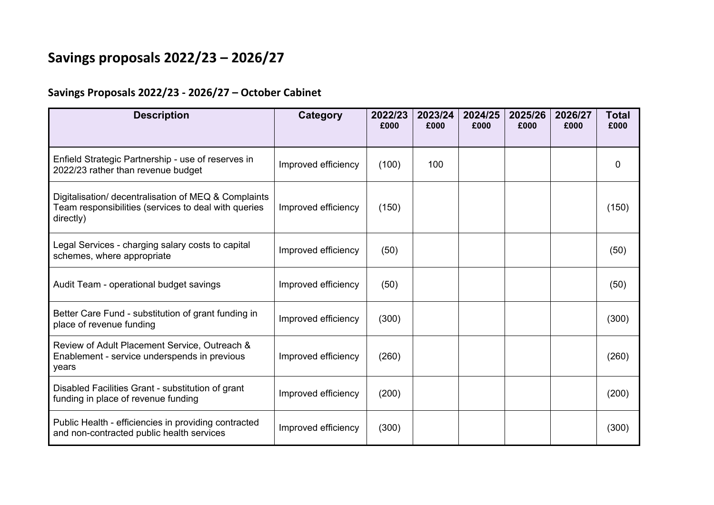## **Savings proposals 2022/23 – 2026/27**

## **Savings Proposals 2022/23 ‐ 2026/27 – October Cabinet**

| <b>Description</b>                                                                                                        | Category            | 2022/23<br>£000 | 2023/24<br>£000 | 2024/25<br>£000 | 2025/26<br>£000 | 2026/27<br>£000 | <b>Total</b><br>£000 |
|---------------------------------------------------------------------------------------------------------------------------|---------------------|-----------------|-----------------|-----------------|-----------------|-----------------|----------------------|
| Enfield Strategic Partnership - use of reserves in<br>2022/23 rather than revenue budget                                  | Improved efficiency | (100)           | 100             |                 |                 |                 | 0                    |
| Digitalisation/ decentralisation of MEQ & Complaints<br>Team responsibilities (services to deal with queries<br>directly) | Improved efficiency | (150)           |                 |                 |                 |                 | (150)                |
| Legal Services - charging salary costs to capital<br>schemes, where appropriate                                           | Improved efficiency | (50)            |                 |                 |                 |                 | (50)                 |
| Audit Team - operational budget savings                                                                                   | Improved efficiency | (50)            |                 |                 |                 |                 | (50)                 |
| Better Care Fund - substitution of grant funding in<br>place of revenue funding                                           | Improved efficiency | (300)           |                 |                 |                 |                 | (300)                |
| Review of Adult Placement Service, Outreach &<br>Enablement - service underspends in previous<br>years                    | Improved efficiency | (260)           |                 |                 |                 |                 | (260)                |
| Disabled Facilities Grant - substitution of grant<br>funding in place of revenue funding                                  | Improved efficiency | (200)           |                 |                 |                 |                 | (200)                |
| Public Health - efficiencies in providing contracted<br>and non-contracted public health services                         | Improved efficiency | (300)           |                 |                 |                 |                 | (300)                |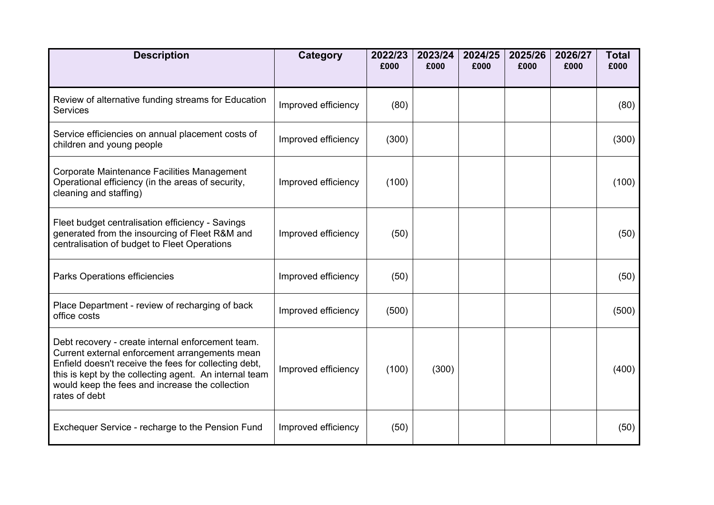| <b>Description</b>                                                                                                                                                                                                                                                                         | <b>Category</b>     | 2022/23<br>£000 | 2023/24<br>£000 | 2024/25<br>£000 | 2025/26<br>£000 | 2026/27<br>£000 | <b>Total</b><br>£000 |
|--------------------------------------------------------------------------------------------------------------------------------------------------------------------------------------------------------------------------------------------------------------------------------------------|---------------------|-----------------|-----------------|-----------------|-----------------|-----------------|----------------------|
| Review of alternative funding streams for Education<br><b>Services</b>                                                                                                                                                                                                                     | Improved efficiency | (80)            |                 |                 |                 |                 | (80)                 |
| Service efficiencies on annual placement costs of<br>children and young people                                                                                                                                                                                                             | Improved efficiency | (300)           |                 |                 |                 |                 | (300)                |
| Corporate Maintenance Facilities Management<br>Operational efficiency (in the areas of security,<br>cleaning and staffing)                                                                                                                                                                 | Improved efficiency | (100)           |                 |                 |                 |                 | (100)                |
| Fleet budget centralisation efficiency - Savings<br>generated from the insourcing of Fleet R&M and<br>centralisation of budget to Fleet Operations                                                                                                                                         | Improved efficiency | (50)            |                 |                 |                 |                 | (50)                 |
| Parks Operations efficiencies                                                                                                                                                                                                                                                              | Improved efficiency | (50)            |                 |                 |                 |                 | (50)                 |
| Place Department - review of recharging of back<br>office costs                                                                                                                                                                                                                            | Improved efficiency | (500)           |                 |                 |                 |                 | (500)                |
| Debt recovery - create internal enforcement team.<br>Current external enforcement arrangements mean<br>Enfield doesn't receive the fees for collecting debt,<br>this is kept by the collecting agent. An internal team<br>would keep the fees and increase the collection<br>rates of debt | Improved efficiency | (100)           | (300)           |                 |                 |                 | (400)                |
| Exchequer Service - recharge to the Pension Fund                                                                                                                                                                                                                                           | Improved efficiency | (50)            |                 |                 |                 |                 | (50)                 |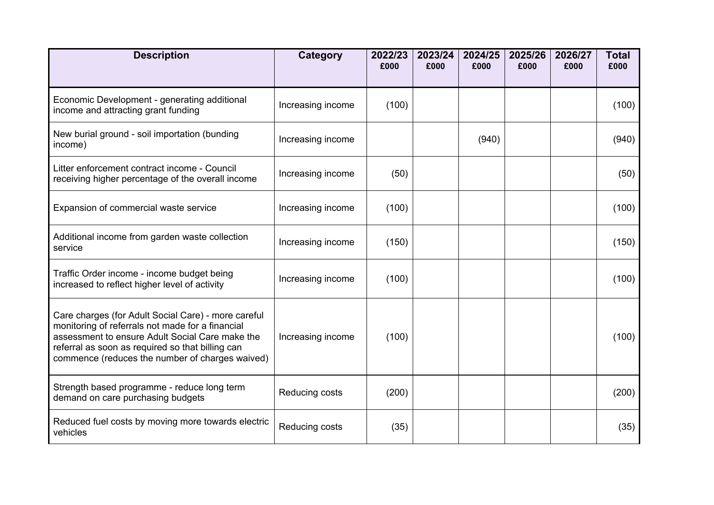| <b>Description</b>                                                                                                                                                                                                                                                | <b>Category</b>   | 2022/23<br>£000 | 2023/24<br>£000 | 2024/25<br>£000 | 2025/26<br>£000 | 2026/27<br>£000 | <b>Total</b><br>£000 |
|-------------------------------------------------------------------------------------------------------------------------------------------------------------------------------------------------------------------------------------------------------------------|-------------------|-----------------|-----------------|-----------------|-----------------|-----------------|----------------------|
| Economic Development - generating additional<br>income and attracting grant funding                                                                                                                                                                               | Increasing income | (100)           |                 |                 |                 |                 | (100)                |
| New burial ground - soil importation (bunding<br>income)                                                                                                                                                                                                          | Increasing income |                 |                 | (940)           |                 |                 | (940)                |
| Litter enforcement contract income - Council<br>receiving higher percentage of the overall income                                                                                                                                                                 | Increasing income | (50)            |                 |                 |                 |                 | (50)                 |
| Expansion of commercial waste service                                                                                                                                                                                                                             | Increasing income | (100)           |                 |                 |                 |                 | (100)                |
| Additional income from garden waste collection<br>service                                                                                                                                                                                                         | Increasing income | (150)           |                 |                 |                 |                 | (150)                |
| Traffic Order income - income budget being<br>increased to reflect higher level of activity                                                                                                                                                                       | Increasing income | (100)           |                 |                 |                 |                 | (100)                |
| Care charges (for Adult Social Care) - more careful<br>monitoring of referrals not made for a financial<br>assessment to ensure Adult Social Care make the<br>referral as soon as required so that billing can<br>commence (reduces the number of charges waived) | Increasing income | (100)           |                 |                 |                 |                 | (100)                |
| Strength based programme - reduce long term<br>demand on care purchasing budgets                                                                                                                                                                                  | Reducing costs    | (200)           |                 |                 |                 |                 | (200)                |
| Reduced fuel costs by moving more towards electric<br>vehicles                                                                                                                                                                                                    | Reducing costs    | (35)            |                 |                 |                 |                 | (35)                 |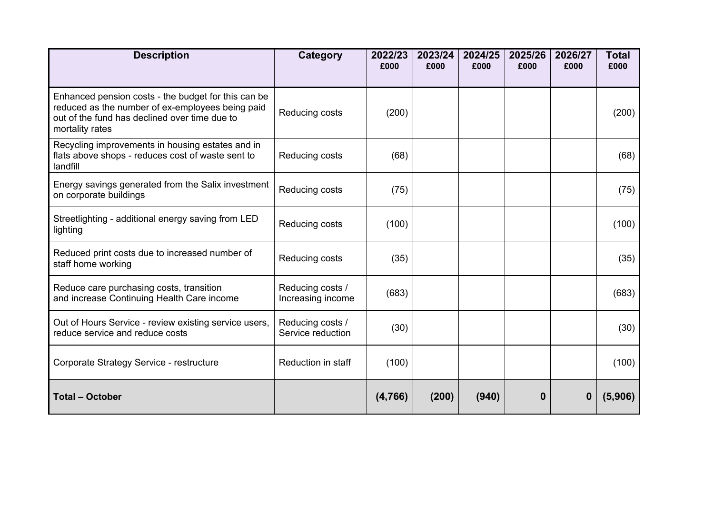| <b>Description</b>                                                                                                                                                          | Category                              | 2022/23<br>£000 | 2023/24<br>£000 | 2024/25<br>£000 | 2025/26<br>£000 | 2026/27<br>£000 | <b>Total</b><br>£000 |
|-----------------------------------------------------------------------------------------------------------------------------------------------------------------------------|---------------------------------------|-----------------|-----------------|-----------------|-----------------|-----------------|----------------------|
| Enhanced pension costs - the budget for this can be<br>reduced as the number of ex-employees being paid<br>out of the fund has declined over time due to<br>mortality rates | Reducing costs                        | (200)           |                 |                 |                 |                 | (200)                |
| Recycling improvements in housing estates and in<br>flats above shops - reduces cost of waste sent to<br>landfill                                                           | Reducing costs                        | (68)            |                 |                 |                 |                 | (68)                 |
| Energy savings generated from the Salix investment<br>on corporate buildings                                                                                                | Reducing costs                        | (75)            |                 |                 |                 |                 | (75)                 |
| Streetlighting - additional energy saving from LED<br>lighting                                                                                                              | Reducing costs                        | (100)           |                 |                 |                 |                 | (100)                |
| Reduced print costs due to increased number of<br>staff home working                                                                                                        | Reducing costs                        | (35)            |                 |                 |                 |                 | (35)                 |
| Reduce care purchasing costs, transition<br>and increase Continuing Health Care income                                                                                      | Reducing costs /<br>Increasing income | (683)           |                 |                 |                 |                 | (683)                |
| Out of Hours Service - review existing service users,<br>reduce service and reduce costs                                                                                    | Reducing costs /<br>Service reduction | (30)            |                 |                 |                 |                 | (30)                 |
| Corporate Strategy Service - restructure                                                                                                                                    | Reduction in staff                    | (100)           |                 |                 |                 |                 | (100)                |
| <b>Total - October</b>                                                                                                                                                      |                                       | (4,766)         | (200)           | (940)           | 0               | 0               | (5,906)              |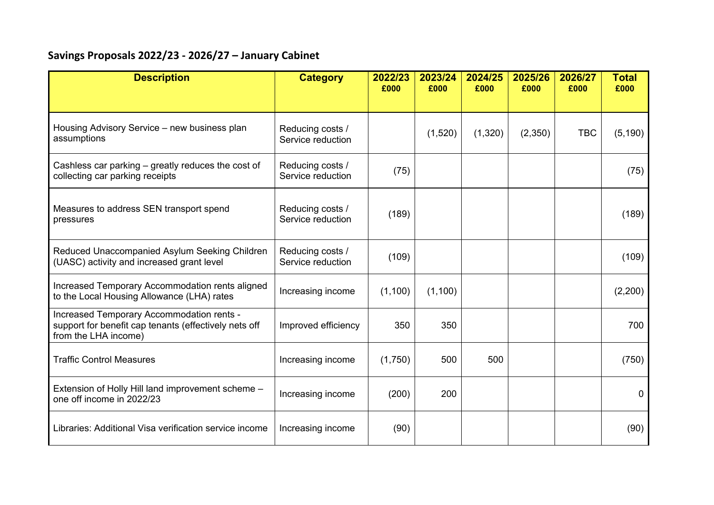## **Savings Proposals 2022/23 ‐ 2026/27 – January Cabinet**

| <b>Description</b>                                                                                                         | <b>Category</b>                       | 2022/23<br>£000 | 2023/24<br>£000 | 2024/25<br>£000 | 2025/26<br>£000 | 2026/27<br>£000 | <b>Total</b><br>£000 |
|----------------------------------------------------------------------------------------------------------------------------|---------------------------------------|-----------------|-----------------|-----------------|-----------------|-----------------|----------------------|
| Housing Advisory Service – new business plan<br>assumptions                                                                | Reducing costs /<br>Service reduction |                 | (1,520)         | (1,320)         | (2,350)         | <b>TBC</b>      | (5, 190)             |
| Cashless car parking - greatly reduces the cost of<br>collecting car parking receipts                                      | Reducing costs /<br>Service reduction | (75)            |                 |                 |                 |                 | (75)                 |
| Measures to address SEN transport spend<br>pressures                                                                       | Reducing costs /<br>Service reduction | (189)           |                 |                 |                 |                 | (189)                |
| Reduced Unaccompanied Asylum Seeking Children<br>(UASC) activity and increased grant level                                 | Reducing costs /<br>Service reduction | (109)           |                 |                 |                 |                 | (109)                |
| Increased Temporary Accommodation rents aligned<br>to the Local Housing Allowance (LHA) rates                              | Increasing income                     | (1,100)         | (1,100)         |                 |                 |                 | (2,200)              |
| Increased Temporary Accommodation rents -<br>support for benefit cap tenants (effectively nets off<br>from the LHA income) | Improved efficiency                   | 350             | 350             |                 |                 |                 | 700                  |
| <b>Traffic Control Measures</b>                                                                                            | Increasing income                     | (1,750)         | 500             | 500             |                 |                 | (750)                |
| Extension of Holly Hill land improvement scheme -<br>one off income in 2022/23                                             | Increasing income                     | (200)           | 200             |                 |                 |                 | 0                    |
| Libraries: Additional Visa verification service income                                                                     | Increasing income                     | (90)            |                 |                 |                 |                 | (90)                 |